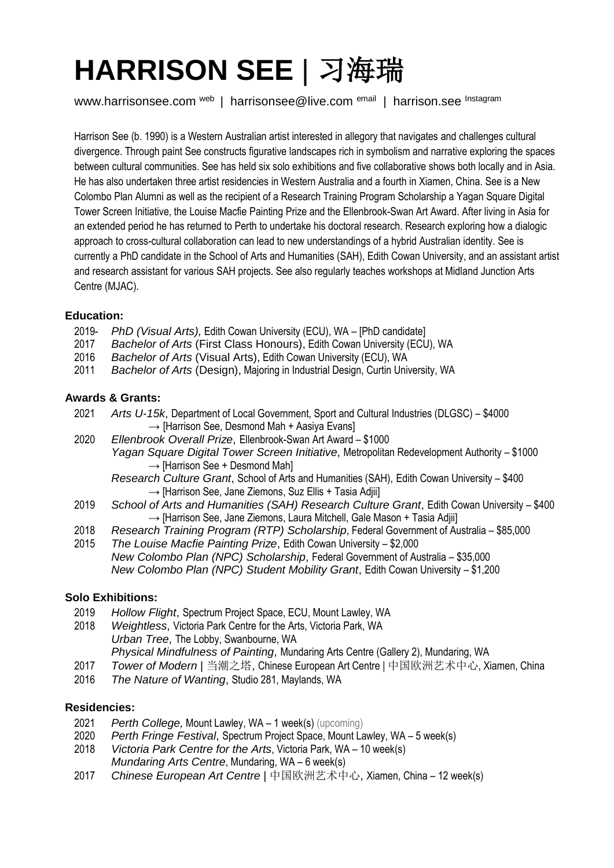# **HARRISON SEE** | 习海瑞

www.harrisonsee.com <sup>web</sup> | harrisonsee@live.com <sup>email</sup> | harrison.see <sup>Instagram</sup>

Harrison See (b. 1990) is a Western Australian artist interested in allegory that navigates and challenges cultural divergence. Through paint See constructs figurative landscapes rich in symbolism and narrative exploring the spaces between cultural communities. See has held six solo exhibitions and five collaborative shows both locally and in Asia. He has also undertaken three artist residencies in Western Australia and a fourth in Xiamen, China. See is a New Colombo Plan Alumni as well as the recipient of a Research Training Program Scholarship a Yagan Square Digital Tower Screen Initiative, the Louise Macfie Painting Prize and the Ellenbrook-Swan Art Award. After living in Asia for an extended period he has returned to Perth to undertake his doctoral research. Research exploring how a dialogic approach to cross-cultural collaboration can lead to new understandings of a hybrid Australian identity. See is currently a PhD candidate in the School of Arts and Humanities (SAH), Edith Cowan University, and an assistant artist and research assistant for various SAH projects. See also regularly teaches workshops at Midland Junction Arts Centre (MJAC).

## **Education:**

- 2019- *PhD (Visual Arts),* Edith Cowan University (ECU), WA [PhD candidate]
- 2017 *Bachelor of Arts* (First Class Honours), Edith Cowan University (ECU), WA
- 2016 *Bachelor of Arts* (Visual Arts), Edith Cowan University (ECU), WA
- 2011 *Bachelor of Arts* (Design), Majoring in Industrial Design, Curtin University, WA

### **Awards & Grants:**

- 2021 *Arts U-15k*, Department of Local Government, Sport and Cultural Industries (DLGSC) \$4000  $\rightarrow$  [Harrison See, Desmond Mah + Aasiya Evans]
- 2020 *Ellenbrook Overall Prize*, Ellenbrook-Swan Art Award \$1000 *Yagan Square Digital Tower Screen Initiative*, Metropolitan Redevelopment Authority – \$1000  $\rightarrow$  [Harrison See + Desmond Mah]
	- *Research Culture Grant*, School of Arts and Humanities (SAH), Edith Cowan University \$400 → [Harrison See, Jane Ziemons, Suz Ellis + Tasia Adiii]
- 2019 *School of Arts and Humanities (SAH) Research Culture Grant*, Edith Cowan University \$400 → [Harrison See, Jane Ziemons, Laura Mitchell, Gale Mason + Tasia Adiii]
- 2018 *Research Training Program (RTP) Scholarship*, Federal Government of Australia \$85,000
- 2015 *The Louise Macfie Painting Prize*, Edith Cowan University \$2,000 *New Colombo Plan (NPC) Scholarship*, Federal Government of Australia – \$35,000 *New Colombo Plan (NPC) Student Mobility Grant*, Edith Cowan University – \$1,200

#### **Solo Exhibitions:**

- 2019 *Hollow Flight*, Spectrum Project Space, ECU, Mount Lawley, WA
- 2018 *Weightless*, Victoria Park Centre for the Arts, Victoria Park, WA *Urban Tree*, The Lobby, Swanbourne, WA
	- *Physical Mindfulness of Painting*, Mundaring Arts Centre (Gallery 2), Mundaring, WA
- 2017 *Tower of Modern* | 当潮之塔, Chinese European Art Centre | 中国欧洲艺术中心, Xiamen, China
- 2016 *The Nature of Wanting*, Studio 281, Maylands, WA

#### **Residencies:**

- 2021 *Perth College,* Mount Lawley, WA 1 week(s) (upcoming)
- 2020 *Perth Fringe Festival*, Spectrum Project Space, Mount Lawley, WA 5 week(s)
- 2018 *Victoria Park Centre for the Arts*, Victoria Park, WA 10 week(s) *Mundaring Arts Centre*, Mundaring, WA – 6 week(s)
- 2017 *Chinese European Art Centre* | 中国欧洲艺术中心, Xiamen, China 12 week(s)